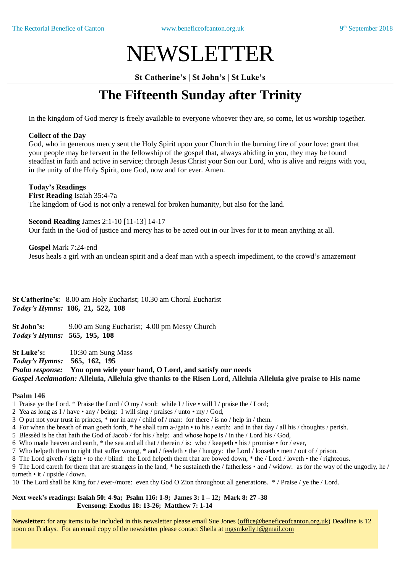# NEWSLETTER

**St Catherine's | St John's | St Luke's**

## **The Fifteenth Sunday after Trinity**

In the kingdom of God mercy is freely available to everyone whoever they are, so come, let us worship together.

#### **Collect of the Day**

God, who in generous mercy sent the Holy Spirit upon your Church in the burning fire of your love: grant that your people may be fervent in the fellowship of the gospel that, always abiding in you, they may be found steadfast in faith and active in service; through Jesus Christ your Son our Lord, who is alive and reigns with you, in the unity of the Holy Spirit, one God, now and for ever. Amen.

#### **Today's Readings**

**First Reading** Isaiah 35:4-7a The kingdom of God is not only a renewal for broken humanity, but also for the land.

**Second Reading** James 2:1-10 [11-13] 14-17 Our faith in the God of justice and mercy has to be acted out in our lives for it to mean anything at all.

**Gospel** Mark 7:24-end

Jesus heals a girl with an unclean spirit and a deaf man with a speech impediment, to the crowd's amazement

**St Catherine's**: 8.00 am Holy Eucharist; 10.30 am Choral Eucharist *Today's Hymns:* **186, 21, 522, 108**

**St John's:** 9.00 am Sung Eucharist; 4.00 pm Messy Church *Today's Hymns:* **565, 195, 108**

**St Luke's:** 10:30 am Sung Mass *Today's Hymns:* **565, 162, 195** *Psalm response:* **You open wide your hand, O Lord, and satisfy our needs** *Gospel Acclamation:* **Alleluia, Alleluia give thanks to the Risen Lord, Alleluia Alleluia give praise to His name**

#### **Psalm 146**

1 Praise ye the Lord. \* Praise the Lord / O my / soul: while I / live • will I / praise the / Lord;

- 2 Yea as long as I / have any / being: I will sing / praises / unto my / God,
- 3 O put not your trust in princes, \* nor in any / child of / man: for there / is no / help in / them.
- 4 For when the breath of man goeth forth, \* he shall turn a-/gain to his / earth: and in that day / all his / thoughts / perish.
- 5 Blessèd is he that hath the God of Jacob / for his / help: and whose hope is / in the / Lord his / God,
- 6 Who made heaven and earth,  $*$  the sea and all that / therein / is: who / keepeth his / promise for / ever,
- 7 Who helpeth them to right that suffer wrong, \* and / feedeth the / hungry: the Lord / looseth men / out of / prison.
- 8 The Lord giveth / sight to the / blind: the Lord helpeth them that are bowed down, \* the / Lord / loveth the / righteous.

9 The Lord careth for them that are strangers in the land, \* he sustaineth the / fatherless • and / widow: as for the way of the ungodly, he / turneth • it / upside / down.

10 The Lord shall be King for / ever-/more: even thy God O Zion throughout all generations. \* / Praise / ye the / Lord.

**Next week's readings: Isaiah 50: 4-9a; Psalm 116: 1-9; James 3: 1 – 12; Mark 8: 27 -38 Evensong: Exodus 18: 13-26; Matthew 7: 1-14**

**Newsletter:** for any items to be included in this newsletter please email Sue Jones (office@beneficeofcanton.org.uk) Deadline is 12 noon on Fridays. For an email copy of the newsletter please contact Sheila at [mgsmkelly1@gmail.com](mailto:mgsmkelly1@gmail.com)